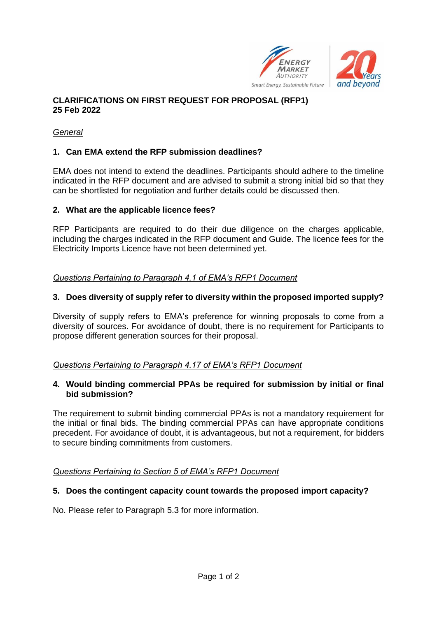



### *General*

# **1. Can EMA extend the RFP submission deadlines?**

EMA does not intend to extend the deadlines. Participants should adhere to the timeline indicated in the RFP document and are advised to submit a strong initial bid so that they can be shortlisted for negotiation and further details could be discussed then.

### **2. What are the applicable licence fees?**

RFP Participants are required to do their due diligence on the charges applicable, including the charges indicated in the RFP document and Guide. The licence fees for the Electricity Imports Licence have not been determined yet.

### *Questions Pertaining to Paragraph 4.1 of EMA's RFP1 Document*

# **3. Does diversity of supply refer to diversity within the proposed imported supply?**

Diversity of supply refers to EMA's preference for winning proposals to come from a diversity of sources. For avoidance of doubt, there is no requirement for Participants to propose different generation sources for their proposal.

### *Questions Pertaining to Paragraph 4.17 of EMA's RFP1 Document*

### **4. Would binding commercial PPAs be required for submission by initial or final bid submission?**

The requirement to submit binding commercial PPAs is not a mandatory requirement for the initial or final bids. The binding commercial PPAs can have appropriate conditions precedent. For avoidance of doubt, it is advantageous, but not a requirement, for bidders to secure binding commitments from customers.

# *Questions Pertaining to Section 5 of EMA's RFP1 Document*

### **5. Does the contingent capacity count towards the proposed import capacity?**

No. Please refer to Paragraph 5.3 for more information.